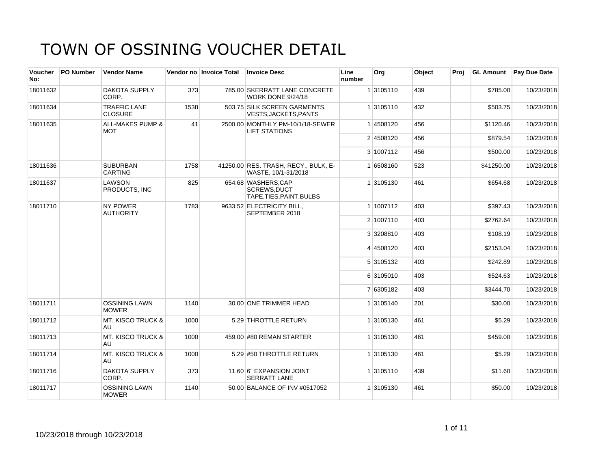| Voucher<br>No: | <b>PO Number</b> | <b>Vendor Name</b>                        |      | Vendor no Invoice Total | <b>Invoice Desc</b>                                            | Line<br>number | Org       | Object | Proi |            | <b>GL Amount</b> Pay Due Date |
|----------------|------------------|-------------------------------------------|------|-------------------------|----------------------------------------------------------------|----------------|-----------|--------|------|------------|-------------------------------|
| 18011632       |                  | <b>DAKOTA SUPPLY</b><br>CORP.             | 373  |                         | 785.00 SKERRATT LANE CONCRETE<br><b>WORK DONE 9/24/18</b>      |                | 1 3105110 | 439    |      | \$785.00   | 10/23/2018                    |
| 18011634       |                  | <b>TRAFFIC LANE</b><br><b>CLOSURE</b>     | 1538 |                         | 503.75 SILK SCREEN GARMENTS,<br>VESTS, JACKETS, PANTS          |                | 1 3105110 | 432    |      | \$503.75   | 10/23/2018                    |
| 18011635       |                  | <b>ALL-MAKES PUMP &amp;</b><br><b>MOT</b> | 41   |                         | 2500.00 MONTHLY PM-10/1/18-SEWER<br><b>LIFT STATIONS</b>       |                | 1 4508120 | 456    |      | \$1120.46  | 10/23/2018                    |
|                |                  |                                           |      |                         |                                                                |                | 2 4508120 | 456    |      | \$879.54   | 10/23/2018                    |
|                |                  |                                           |      |                         |                                                                |                | 3 1007112 | 456    |      | \$500.00   | 10/23/2018                    |
| 18011636       |                  | <b>SUBURBAN</b><br><b>CARTING</b>         | 1758 |                         | 41250.00 RES. TRASH, RECY., BULK, E-<br>WASTE, 10/1-31/2018    |                | 1 6508160 | 523    |      | \$41250.00 | 10/23/2018                    |
| 18011637       |                  | LAWSON<br>PRODUCTS. INC                   | 825  |                         | 654.68 WASHERS, CAP<br>SCREWS.DUCT<br>TAPE, TIES, PAINT, BULBS |                | 1 3105130 | 461    |      | \$654.68   | 10/23/2018                    |
| 18011710       |                  | <b>NY POWER</b><br><b>AUTHORITY</b>       | 1783 |                         | 9633.52 ELECTRICITY BILL,<br>SEPTEMBER 2018                    |                | 1 1007112 | 403    |      | \$397.43   | 10/23/2018                    |
|                |                  |                                           |      |                         |                                                                |                | 2 1007110 | 403    |      | \$2762.64  | 10/23/2018                    |
|                |                  |                                           |      |                         |                                                                |                | 3 3208810 | 403    |      | \$108.19   | 10/23/2018                    |
|                |                  |                                           |      |                         |                                                                |                | 4 4508120 | 403    |      | \$2153.04  | 10/23/2018                    |
|                |                  |                                           |      |                         |                                                                |                | 5 3105132 | 403    |      | \$242.89   | 10/23/2018                    |
|                |                  |                                           |      |                         |                                                                |                | 6 3105010 | 403    |      | \$524.63   | 10/23/2018                    |
|                |                  |                                           |      |                         |                                                                |                | 7 6305182 | 403    |      | \$3444.70  | 10/23/2018                    |
| 18011711       |                  | <b>OSSINING LAWN</b><br><b>MOWER</b>      | 1140 |                         | 30.00 ONE TRIMMER HEAD                                         |                | 1 3105140 | 201    |      | \$30.00    | 10/23/2018                    |
| 18011712       |                  | <b>MT. KISCO TRUCK &amp;</b><br>AU        | 1000 |                         | 5.29 THROTTLE RETURN                                           |                | 1 3105130 | 461    |      | \$5.29     | 10/23/2018                    |
| 18011713       |                  | <b>MT. KISCO TRUCK &amp;</b><br>AU        | 1000 |                         | 459.00 #80 REMAN STARTER                                       |                | 1 3105130 | 461    |      | \$459.00   | 10/23/2018                    |
| 18011714       |                  | <b>MT. KISCO TRUCK &amp;</b><br>AU        | 1000 |                         | 5.29 #50 THROTTLE RETURN                                       |                | 1 3105130 | 461    |      | \$5.29     | 10/23/2018                    |
| 18011716       |                  | <b>DAKOTA SUPPLY</b><br>CORP.             | 373  |                         | 11.60 6" EXPANSION JOINT<br><b>SERRATT LANE</b>                |                | 1 3105110 | 439    |      | \$11.60    | 10/23/2018                    |
| 18011717       |                  | <b>OSSINING LAWN</b><br><b>MOWER</b>      | 1140 |                         | 50.00 BALANCE OF INV #0517052                                  |                | 1 3105130 | 461    |      | \$50.00    | 10/23/2018                    |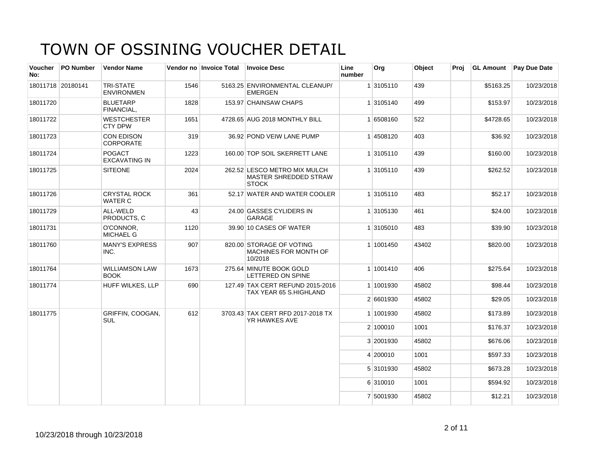| Voucher<br>No:    | <b>PO Number</b> | <b>Vendor Name</b>                    |      | Vendor no Invoice Total | <b>Invoice Desc</b>                                                          | Line<br>number | Org       | Object | Proi | <b>GL Amount</b> | <b>Pay Due Date</b> |
|-------------------|------------------|---------------------------------------|------|-------------------------|------------------------------------------------------------------------------|----------------|-----------|--------|------|------------------|---------------------|
| 18011718 20180141 |                  | <b>TRI-STATE</b><br><b>ENVIRONMEN</b> | 1546 |                         | 5163.25 ENVIRONMENTAL CLEANUP/<br><b>EMERGEN</b>                             |                | 1 3105110 | 439    |      | \$5163.25        | 10/23/2018          |
| 18011720          |                  | <b>BLUETARP</b><br>FINANCIAL,         | 1828 |                         | 153.97 CHAINSAW CHAPS                                                        |                | 1 3105140 | 499    |      | \$153.97         | 10/23/2018          |
| 18011722          |                  | WESTCHESTER<br>CTY DPW                | 1651 |                         | 4728.65 AUG 2018 MONTHLY BILL                                                |                | 1 6508160 | 522    |      | \$4728.65        | 10/23/2018          |
| 18011723          |                  | CON EDISON<br><b>CORPORATE</b>        | 319  |                         | 36.92 POND VEIW LANE PUMP                                                    |                | 14508120  | 403    |      | \$36.92          | 10/23/2018          |
| 18011724          |                  | <b>POGACT</b><br><b>EXCAVATING IN</b> | 1223 |                         | 160.00 TOP SOIL SKERRETT LANE                                                |                | 1 3105110 | 439    |      | \$160.00         | 10/23/2018          |
| 18011725          |                  | <b>SITEONE</b>                        | 2024 |                         | 262.52 LESCO METRO MIX MULCH<br><b>MASTER SHREDDED STRAW</b><br><b>STOCK</b> |                | 1 3105110 | 439    |      | \$262.52         | 10/23/2018          |
| 18011726          |                  | <b>CRYSTAL ROCK</b><br>WATER C        | 361  |                         | 52.17 WATER AND WATER COOLER                                                 |                | 1 3105110 | 483    |      | \$52.17          | 10/23/2018          |
| 18011729          |                  | ALL-WELD<br>PRODUCTS, C               | 43   |                         | 24.00 GASSES CYLIDERS IN<br>GARAGE                                           |                | 1 3105130 | 461    |      | \$24.00          | 10/23/2018          |
| 18011731          |                  | O'CONNOR,<br>MICHAEL G                | 1120 |                         | 39.90 10 CASES OF WATER                                                      |                | 1 3105010 | 483    |      | \$39.90          | 10/23/2018          |
| 18011760          |                  | <b>MANY'S EXPRESS</b><br>INC.         | 907  |                         | 820.00 STORAGE OF VOTING<br><b>MACHINES FOR MONTH OF</b><br>10/2018          |                | 1 1001450 | 43402  |      | \$820.00         | 10/23/2018          |
| 18011764          |                  | WILLIAMSON LAW<br><b>BOOK</b>         | 1673 |                         | 275.64 MINUTE BOOK GOLD<br>LETTERED ON SPINE                                 |                | 1 1001410 | 406    |      | \$275.64         | 10/23/2018          |
| 18011774          |                  | HUFF WILKES, LLP                      | 690  |                         | 127.49 TAX CERT REFUND 2015-2016<br>TAX YEAR 65 S.HIGHLAND                   |                | 1 1001930 | 45802  |      | \$98.44          | 10/23/2018          |
|                   |                  |                                       |      |                         |                                                                              |                | 2 6601930 | 45802  |      | \$29.05          | 10/23/2018          |
| 18011775          |                  | GRIFFIN, COOGAN,<br><b>SUL</b>        | 612  |                         | 3703.43 TAX CERT RFD 2017-2018 TX<br>YR HAWKES AVE                           |                | 1 1001930 | 45802  |      | \$173.89         | 10/23/2018          |
|                   |                  |                                       |      |                         |                                                                              |                | 2 100010  | 1001   |      | \$176.37         | 10/23/2018          |
|                   |                  |                                       |      |                         |                                                                              |                | 3 2001930 | 45802  |      | \$676.06         | 10/23/2018          |
|                   |                  |                                       |      |                         |                                                                              |                | 4 200010  | 1001   |      | \$597.33         | 10/23/2018          |
|                   |                  |                                       |      |                         |                                                                              |                | 5 3101930 | 45802  |      | \$673.28         | 10/23/2018          |
|                   |                  |                                       |      |                         |                                                                              |                | 6 310010  | 1001   |      | \$594.92         | 10/23/2018          |
|                   |                  |                                       |      |                         |                                                                              |                | 7 5001930 | 45802  |      | \$12.21          | 10/23/2018          |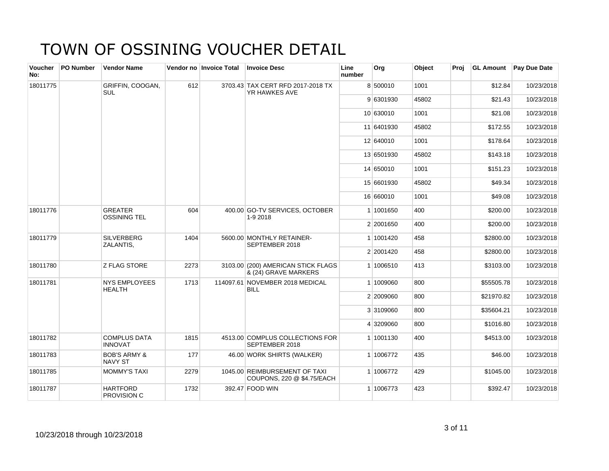| <b>Voucher</b><br>No: | <b>PO Number</b> | <b>Vendor Name</b>                        |      | Vendor no Invoice Total | <b>Invoice Desc</b>                                         | Line<br>number | Org        | Object | Proi | <b>GL Amount</b> | Pay Due Date |
|-----------------------|------------------|-------------------------------------------|------|-------------------------|-------------------------------------------------------------|----------------|------------|--------|------|------------------|--------------|
| 18011775              |                  | GRIFFIN, COOGAN,<br>SUL                   | 612  |                         | 3703.43 TAX CERT RFD 2017-2018 TX<br>YR HAWKES AVE          |                | 8 500010   | 1001   |      | \$12.84          | 10/23/2018   |
|                       |                  |                                           |      |                         |                                                             |                | 9 6301930  | 45802  |      | \$21.43          | 10/23/2018   |
|                       |                  |                                           |      |                         |                                                             |                | 10 630010  | 1001   |      | \$21.08          | 10/23/2018   |
|                       |                  |                                           |      |                         |                                                             |                | 11 6401930 | 45802  |      | \$172.55         | 10/23/2018   |
|                       |                  |                                           |      |                         |                                                             |                | 12 640010  | 1001   |      | \$178.64         | 10/23/2018   |
|                       |                  |                                           |      |                         |                                                             |                | 13 6501930 | 45802  |      | \$143.18         | 10/23/2018   |
|                       |                  |                                           |      |                         |                                                             |                | 14 650010  | 1001   |      | \$151.23         | 10/23/2018   |
|                       |                  |                                           |      |                         |                                                             |                | 15 6601930 | 45802  |      | \$49.34          | 10/23/2018   |
|                       |                  |                                           |      |                         |                                                             |                | 16 660010  | 1001   |      | \$49.08          | 10/23/2018   |
| 18011776              |                  | <b>GREATER</b><br><b>OSSINING TEL</b>     | 604  |                         | 400.00 GO-TV SERVICES, OCTOBER<br>1-9 2018                  |                | 1 1001650  | 400    |      | \$200.00         | 10/23/2018   |
|                       |                  |                                           |      |                         |                                                             |                | 2 2001650  | 400    |      | \$200.00         | 10/23/2018   |
| 18011779              |                  | <b>SILVERBERG</b><br>ZALANTIS,            | 1404 |                         | 5600.00 MONTHLY RETAINER-<br>SEPTEMBER 2018                 |                | 1 1001420  | 458    |      | \$2800.00        | 10/23/2018   |
|                       |                  |                                           |      |                         |                                                             |                | 2 2001420  | 458    |      | \$2800.00        | 10/23/2018   |
| 18011780              |                  | <b>Z FLAG STORE</b>                       | 2273 |                         | 3103.00 (200) AMERICAN STICK FLAGS<br>& (24) GRAVE MARKERS  |                | 1 1006510  | 413    |      | \$3103.00        | 10/23/2018   |
| 18011781              |                  | <b>NYS EMPLOYEES</b><br><b>HEALTH</b>     | 1713 |                         | 114097.61 NOVEMBER 2018 MEDICAL<br><b>BILL</b>              |                | 1 1009060  | 800    |      | \$55505.78       | 10/23/2018   |
|                       |                  |                                           |      |                         |                                                             |                | 2 2009060  | 800    |      | \$21970.82       | 10/23/2018   |
|                       |                  |                                           |      |                         |                                                             |                | 3 3109060  | 800    |      | \$35604.21       | 10/23/2018   |
|                       |                  |                                           |      |                         |                                                             |                | 4 3209060  | 800    |      | \$1016.80        | 10/23/2018   |
| 18011782              |                  | <b>COMPLUS DATA</b><br><b>INNOVAT</b>     | 1815 |                         | 4513.00 COMPLUS COLLECTIONS FOR<br>SEPTEMBER 2018           |                | 1 1001130  | 400    |      | \$4513.00        | 10/23/2018   |
| 18011783              |                  | <b>BOB'S ARMY &amp;</b><br><b>NAVY ST</b> | 177  |                         | 46.00 WORK SHIRTS (WALKER)                                  |                | 1 1006772  | 435    |      | \$46.00          | 10/23/2018   |
| 18011785              |                  | <b>MOMMY'S TAXI</b>                       | 2279 |                         | 1045.00 REIMBURSEMENT OF TAXI<br>COUPONS, 220 @ \$4.75/EACH |                | 1 1006772  | 429    |      | \$1045.00        | 10/23/2018   |
| 18011787              |                  | <b>HARTFORD</b><br>PROVISION C            | 1732 |                         | 392.47 FOOD WIN                                             |                | 1 1006773  | 423    |      | \$392.47         | 10/23/2018   |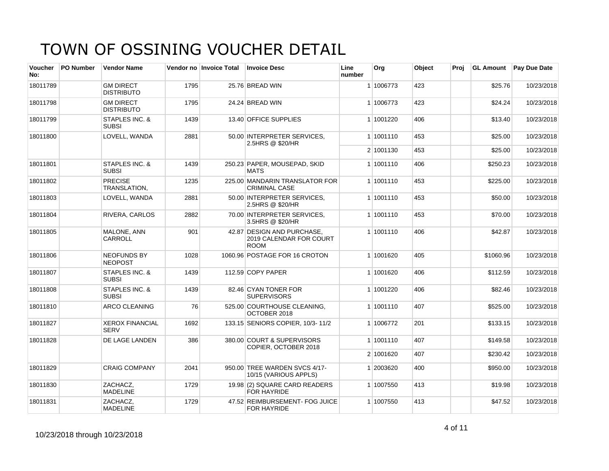| <b>Voucher</b><br>No: | <b>PO Number</b> | <b>Vendor Name</b>                    |      | Vendor no Invoice Total | <b>Invoice Desc</b>                                                  | Line<br>number | Org       | <b>Object</b> | Proi | <b>GL Amount</b> | <b>Pay Due Date</b> |
|-----------------------|------------------|---------------------------------------|------|-------------------------|----------------------------------------------------------------------|----------------|-----------|---------------|------|------------------|---------------------|
| 18011789              |                  | <b>GM DIRECT</b><br><b>DISTRIBUTO</b> | 1795 |                         | 25.76 BREAD WIN                                                      |                | 1 1006773 | 423           |      | \$25.76          | 10/23/2018          |
| 18011798              |                  | <b>GM DIRECT</b><br><b>DISTRIBUTO</b> | 1795 |                         | 24.24 BREAD WIN                                                      |                | 1 1006773 | 423           |      | \$24.24          | 10/23/2018          |
| 18011799              |                  | STAPLES INC. &<br><b>SUBSI</b>        | 1439 |                         | 13.40 OFFICE SUPPLIES                                                |                | 1 1001220 | 406           |      | \$13.40          | 10/23/2018          |
| 18011800              |                  | LOVELL, WANDA                         | 2881 |                         | 50.00 INTERPRETER SERVICES.<br>2.5HRS @ \$20/HR                      |                | 1 1001110 | 453           |      | \$25.00          | 10/23/2018          |
|                       |                  |                                       |      |                         |                                                                      |                | 2 1001130 | 453           |      | \$25.00          | 10/23/2018          |
| 18011801              |                  | STAPLES INC. &<br><b>SUBSI</b>        | 1439 |                         | 250.23 PAPER, MOUSEPAD, SKID<br><b>MATS</b>                          |                | 1 1001110 | 406           |      | \$250.23         | 10/23/2018          |
| 18011802              |                  | <b>PRECISE</b><br>TRANSLATION.        | 1235 |                         | 225.00 MANDARIN TRANSLATOR FOR<br><b>CRIMINAL CASE</b>               |                | 1 1001110 | 453           |      | \$225.00         | 10/23/2018          |
| 18011803              |                  | LOVELL, WANDA                         | 2881 |                         | 50.00 INTERPRETER SERVICES.<br>2.5HRS @ \$20/HR                      |                | 1 1001110 | 453           |      | \$50.00          | 10/23/2018          |
| 18011804              |                  | <b>RIVERA, CARLOS</b>                 | 2882 |                         | 70.00 INTERPRETER SERVICES.<br>3.5HRS @ \$20/HR                      |                | 1 1001110 | 453           |      | \$70.00          | 10/23/2018          |
| 18011805              |                  | MALONE, ANN<br>CARROLL                | 901  |                         | 42.87 DESIGN AND PURCHASE.<br>2019 CALENDAR FOR COURT<br><b>ROOM</b> |                | 1 1001110 | 406           |      | \$42.87          | 10/23/2018          |
| 18011806              |                  | <b>NEOFUNDS BY</b><br><b>NEOPOST</b>  | 1028 |                         | 1060.96 POSTAGE FOR 16 CROTON                                        |                | 1 1001620 | 405           |      | \$1060.96        | 10/23/2018          |
| 18011807              |                  | STAPLES INC. &<br><b>SUBSI</b>        | 1439 |                         | 112.59 COPY PAPER                                                    |                | 1 1001620 | 406           |      | \$112.59         | 10/23/2018          |
| 18011808              |                  | STAPLES INC. &<br><b>SUBSI</b>        | 1439 |                         | 82.46 CYAN TONER FOR<br><b>SUPERVISORS</b>                           |                | 1 1001220 | 406           |      | \$82.46          | 10/23/2018          |
| 18011810              |                  | ARCO CLEANING                         | 76   |                         | 525.00 COURTHOUSE CLEANING,<br>OCTOBER 2018                          |                | 1 1001110 | 407           |      | \$525.00         | 10/23/2018          |
| 18011827              |                  | <b>XEROX FINANCIAL</b><br><b>SERV</b> | 1692 |                         | 133.15 SENIORS COPIER, 10/3-11/2                                     |                | 1 1006772 | 201           |      | \$133.15         | 10/23/2018          |
| 18011828              |                  | DE LAGE LANDEN                        | 386  |                         | 380.00 COURT & SUPERVISORS<br>COPIER, OCTOBER 2018                   |                | 1 1001110 | 407           |      | \$149.58         | 10/23/2018          |
|                       |                  |                                       |      |                         |                                                                      |                | 2 1001620 | 407           |      | \$230.42         | 10/23/2018          |
| 18011829              |                  | <b>CRAIG COMPANY</b>                  | 2041 |                         | 950.00 TREE WARDEN SVCS 4/17-<br>10/15 (VARIOUS APPLS)               |                | 1 2003620 | 400           |      | \$950.00         | 10/23/2018          |
| 18011830              |                  | ZACHACZ,<br><b>MADELINE</b>           | 1729 |                         | 19.98 (2) SQUARE CARD READERS<br>FOR HAYRIDE                         |                | 1 1007550 | 413           |      | \$19.98          | 10/23/2018          |
| 18011831              |                  | ZACHACZ,<br><b>MADELINE</b>           | 1729 |                         | 47.52 REIMBURSEMENT- FOG JUICE<br>FOR HAYRIDE                        |                | 1 1007550 | 413           |      | \$47.52          | 10/23/2018          |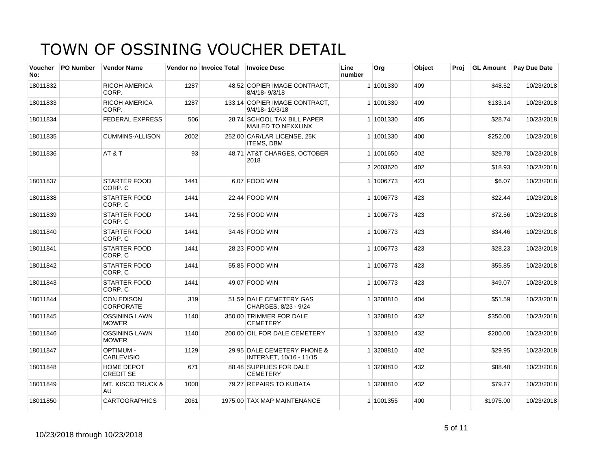| Voucher<br>No: | <b>PO Number</b> | <b>Vendor Name</b>                    |      | Vendor no Invoice Total | <b>Invoice Desc</b>                                    | Line<br>number | Org       | Object | Proj | <b>GL Amount</b> | <b>Pay Due Date</b> |
|----------------|------------------|---------------------------------------|------|-------------------------|--------------------------------------------------------|----------------|-----------|--------|------|------------------|---------------------|
| 18011832       |                  | <b>RICOH AMERICA</b><br>CORP.         | 1287 |                         | 48.52 COPIER IMAGE CONTRACT,<br>8/4/18-9/3/18          |                | 1 1001330 | 409    |      | \$48.52          | 10/23/2018          |
| 18011833       |                  | <b>RICOH AMERICA</b><br>CORP.         | 1287 |                         | 133.14 COPIER IMAGE CONTRACT.<br>$9/4/18 - 10/3/18$    |                | 1 1001330 | 409    |      | \$133.14         | 10/23/2018          |
| 18011834       |                  | <b>FEDERAL EXPRESS</b>                | 506  |                         | 28.74 SCHOOL TAX BILL PAPER<br>MAILED TO NEXXLINX      |                | 1 1001330 | 405    |      | \$28.74          | 10/23/2018          |
| 18011835       |                  | <b>CUMMINS-ALLISON</b>                | 2002 |                         | 252.00 CAR/LAR LICENSE, 25K<br><b>ITEMS, DBM</b>       |                | 1 1001330 | 400    |      | \$252.00         | 10/23/2018          |
| 18011836       |                  | AT&T                                  | 93   |                         | 48.71 AT&T CHARGES, OCTOBER<br>2018                    |                | 1 1001650 | 402    |      | \$29.78          | 10/23/2018          |
|                |                  |                                       |      |                         |                                                        |                | 2 2003620 | 402    |      | \$18.93          | 10/23/2018          |
| 18011837       |                  | <b>STARTER FOOD</b><br>CORP. C        | 1441 |                         | 6.07 FOOD WIN                                          |                | 1 1006773 | 423    |      | \$6.07           | 10/23/2018          |
| 18011838       |                  | STARTER FOOD<br>CORP. C               | 1441 |                         | 22.44 FOOD WIN                                         |                | 1 1006773 | 423    |      | \$22.44          | 10/23/2018          |
| 18011839       |                  | <b>STARTER FOOD</b><br>CORP. C        | 1441 |                         | 72.56 FOOD WIN                                         |                | 1 1006773 | 423    |      | \$72.56          | 10/23/2018          |
| 18011840       |                  | <b>STARTER FOOD</b><br>CORP. C        | 1441 |                         | 34.46 FOOD WIN                                         |                | 1 1006773 | 423    |      | \$34.46          | 10/23/2018          |
| 18011841       |                  | <b>STARTER FOOD</b><br>CORP. C        | 1441 |                         | 28.23 FOOD WIN                                         |                | 1 1006773 | 423    |      | \$28.23          | 10/23/2018          |
| 18011842       |                  | <b>STARTER FOOD</b><br>CORP. C        | 1441 |                         | 55.85 FOOD WIN                                         |                | 1 1006773 | 423    |      | \$55.85          | 10/23/2018          |
| 18011843       |                  | <b>STARTER FOOD</b><br>CORP. C        | 1441 |                         | 49.07 FOOD WIN                                         |                | 1 1006773 | 423    |      | \$49.07          | 10/23/2018          |
| 18011844       |                  | <b>CON EDISON</b><br><b>CORPORATE</b> | 319  |                         | 51.59 DALE CEMETERY GAS<br>CHARGES, 8/23 - 9/24        |                | 1 3208810 | 404    |      | \$51.59          | 10/23/2018          |
| 18011845       |                  | <b>OSSINING LAWN</b><br><b>MOWER</b>  | 1140 |                         | 350.00 TRIMMER FOR DALE<br><b>CEMETERY</b>             |                | 1 3208810 | 432    |      | \$350.00         | 10/23/2018          |
| 18011846       |                  | <b>OSSINING LAWN</b><br><b>MOWER</b>  | 1140 |                         | 200.00 OIL FOR DALE CEMETERY                           |                | 1 3208810 | 432    |      | \$200.00         | 10/23/2018          |
| 18011847       |                  | <b>OPTIMUM -</b><br><b>CABLEVISIO</b> | 1129 |                         | 29.95 DALE CEMETERY PHONE &<br>INTERNET, 10/16 - 11/15 |                | 1 3208810 | 402    |      | \$29.95          | 10/23/2018          |
| 18011848       |                  | HOME DEPOT<br><b>CREDIT SE</b>        | 671  |                         | 88.48 SUPPLIES FOR DALE<br><b>CEMETERY</b>             |                | 1 3208810 | 432    |      | \$88.48          | 10/23/2018          |
| 18011849       |                  | <b>MT. KISCO TRUCK &amp;</b><br>AU    | 1000 |                         | 79.27 REPAIRS TO KUBATA                                |                | 1 3208810 | 432    |      | \$79.27          | 10/23/2018          |
| 18011850       |                  | <b>CARTOGRAPHICS</b>                  | 2061 |                         | 1975.00 TAX MAP MAINTENANCE                            |                | 1 1001355 | 400    |      | \$1975.00        | 10/23/2018          |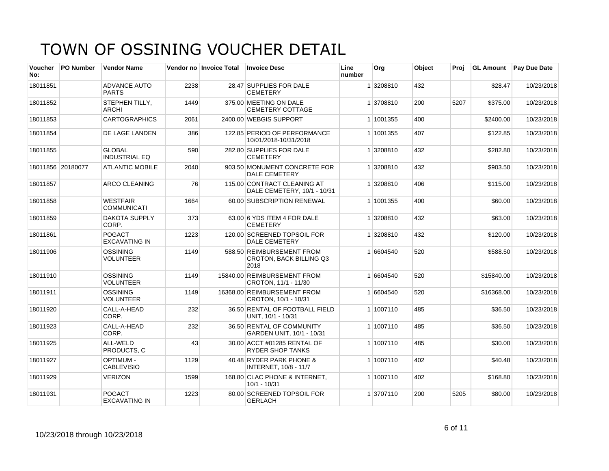| Voucher<br>No: | <b>PO Number</b>  | <b>Vendor Name</b>                    |      | Vendor no Invoice Total | <b>Invoice Desc</b>                                                 | Line<br>number | <b>Org</b> | Object | Proi | <b>GL Amount</b> | <b>Pay Due Date</b> |
|----------------|-------------------|---------------------------------------|------|-------------------------|---------------------------------------------------------------------|----------------|------------|--------|------|------------------|---------------------|
| 18011851       |                   | <b>ADVANCE AUTO</b><br><b>PARTS</b>   | 2238 |                         | 28.47 SUPPLIES FOR DALE<br><b>CEMETERY</b>                          |                | 1 3208810  | 432    |      | \$28.47          | 10/23/2018          |
| 18011852       |                   | STEPHEN TILLY,<br>ARCHI               | 1449 |                         | 375.00 MEETING ON DALE<br><b>CEMETERY COTTAGE</b>                   |                | 1 3708810  | 200    | 5207 | \$375.00         | 10/23/2018          |
| 18011853       |                   | <b>CARTOGRAPHICS</b>                  | 2061 |                         | 2400.00 WEBGIS SUPPORT                                              |                | 1 1001355  | 400    |      | \$2400.00        | 10/23/2018          |
| 18011854       |                   | DE LAGE LANDEN                        | 386  |                         | 122.85 PERIOD OF PERFORMANCE<br>10/01/2018-10/31/2018               |                | 1 1001355  | 407    |      | \$122.85         | 10/23/2018          |
| 18011855       |                   | <b>GLOBAL</b><br><b>INDUSTRIAL EQ</b> | 590  |                         | 282.80 SUPPLIES FOR DALE<br><b>CEMETERY</b>                         |                | 1 3208810  | 432    |      | \$282.80         | 10/23/2018          |
|                | 18011856 20180077 | <b>ATLANTIC MOBILE</b>                | 2040 |                         | 903.50 MONUMENT CONCRETE FOR<br><b>DALE CEMETERY</b>                |                | 1 3208810  | 432    |      | \$903.50         | 10/23/2018          |
| 18011857       |                   | ARCO CLEANING                         | 76   |                         | 115.00 CONTRACT CLEANING AT<br>DALE CEMETERY, 10/1 - 10/31          |                | 1 3208810  | 406    |      | \$115.00         | 10/23/2018          |
| 18011858       |                   | <b>WESTFAIR</b><br><b>COMMUNICATI</b> | 1664 |                         | 60.00 SUBSCRIPTION RENEWAL                                          |                | 1 1001355  | 400    |      | \$60.00          | 10/23/2018          |
| 18011859       |                   | <b>DAKOTA SUPPLY</b><br>CORP.         | 373  |                         | 63.00 6 YDS ITEM 4 FOR DALE<br><b>CEMETERY</b>                      |                | 1 3208810  | 432    |      | \$63.00          | 10/23/2018          |
| 18011861       |                   | <b>POGACT</b><br><b>EXCAVATING IN</b> | 1223 |                         | 120.00 SCREENED TOPSOIL FOR<br><b>DALE CEMETERY</b>                 |                | 1 3208810  | 432    |      | \$120.00         | 10/23/2018          |
| 18011906       |                   | <b>OSSINING</b><br><b>VOLUNTEER</b>   | 1149 |                         | 588.50 REIMBURSEMENT FROM<br><b>CROTON, BACK BILLING Q3</b><br>2018 |                | 1 6604540  | 520    |      | \$588.50         | 10/23/2018          |
| 18011910       |                   | <b>OSSINING</b><br><b>VOLUNTEER</b>   | 1149 |                         | 15840.00 REIMBURSEMENT FROM<br>CROTON, 11/1 - 11/30                 |                | 1 6604540  | 520    |      | \$15840.00       | 10/23/2018          |
| 18011911       |                   | <b>OSSINING</b><br><b>VOLUNTEER</b>   | 1149 |                         | 16368.00 REIMBURSEMENT FROM<br>CROTON, 10/1 - 10/31                 |                | 1 6604540  | 520    |      | \$16368.00       | 10/23/2018          |
| 18011920       |                   | CALL-A-HEAD<br>CORP.                  | 232  |                         | 36.50 RENTAL OF FOOTBALL FIELD<br>UNIT, 10/1 - 10/31                |                | 1 1007110  | 485    |      | \$36.50          | 10/23/2018          |
| 18011923       |                   | CALL-A-HEAD<br>CORP.                  | 232  |                         | 36.50 RENTAL OF COMMUNITY<br>GARDEN UNIT, 10/1 - 10/31              |                | 1 1007110  | 485    |      | \$36.50          | 10/23/2018          |
| 18011925       |                   | ALL-WELD<br>PRODUCTS, C               | 43   |                         | 30.00 ACCT #01285 RENTAL OF<br><b>RYDER SHOP TANKS</b>              |                | 1 1007110  | 485    |      | \$30.00          | 10/23/2018          |
| 18011927       |                   | <b>OPTIMUM-</b><br><b>CABLEVISIO</b>  | 1129 |                         | 40.48 RYDER PARK PHONE &<br>INTERNET, 10/8 - 11/7                   |                | 1 1007110  | 402    |      | \$40.48          | 10/23/2018          |
| 18011929       |                   | <b>VERIZON</b>                        | 1599 |                         | 168.80 CLAC PHONE & INTERNET,<br>$10/1 - 10/31$                     |                | 1 1007110  | 402    |      | \$168.80         | 10/23/2018          |
| 18011931       |                   | <b>POGACT</b><br><b>EXCAVATING IN</b> | 1223 |                         | 80.00 SCREENED TOPSOIL FOR<br><b>GERLACH</b>                        |                | 1 3707110  | 200    | 5205 | \$80.00          | 10/23/2018          |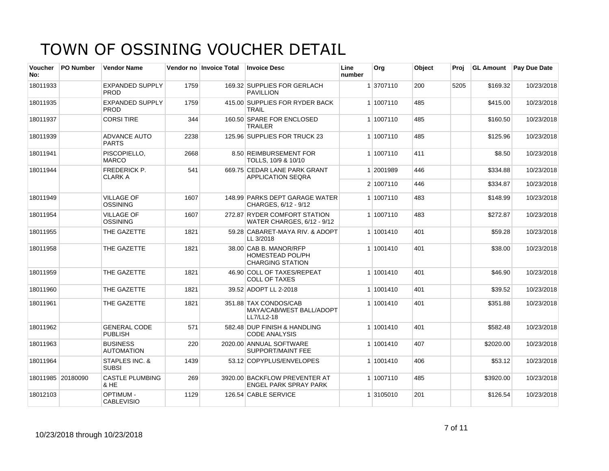| <b>Voucher</b><br>No: | <b>PO Number</b>  | <b>Vendor Name</b>                    |      | Vendor no Invoice Total | <b>Invoice Desc</b>                                                          | Line<br>number | Org       | Object | Proi | <b>GL Amount</b> | <b>Pay Due Date</b> |
|-----------------------|-------------------|---------------------------------------|------|-------------------------|------------------------------------------------------------------------------|----------------|-----------|--------|------|------------------|---------------------|
| 18011933              |                   | <b>EXPANDED SUPPLY</b><br><b>PROD</b> | 1759 |                         | 169.32 SUPPLIES FOR GERLACH<br><b>PAVILLION</b>                              |                | 1 3707110 | 200    | 5205 | \$169.32         | 10/23/2018          |
| 18011935              |                   | <b>EXPANDED SUPPLY</b><br><b>PROD</b> | 1759 |                         | 415.00 SUPPLIES FOR RYDER BACK<br><b>TRAIL</b>                               |                | 1 1007110 | 485    |      | \$415.00         | 10/23/2018          |
| 18011937              |                   | <b>CORSI TIRE</b>                     | 344  |                         | 160.50 SPARE FOR ENCLOSED<br><b>TRAILER</b>                                  |                | 1 1007110 | 485    |      | \$160.50         | 10/23/2018          |
| 18011939              |                   | ADVANCE AUTO<br><b>PARTS</b>          | 2238 |                         | 125.96 SUPPLIES FOR TRUCK 23                                                 |                | 1 1007110 | 485    |      | \$125.96         | 10/23/2018          |
| 18011941              |                   | PISCOPIELLO.<br><b>MARCO</b>          | 2668 |                         | 8.50 REIMBURSEMENT FOR<br>TOLLS, 10/9 & 10/10                                |                | 1 1007110 | 411    |      | \$8.50           | 10/23/2018          |
| 18011944              |                   | <b>FREDERICK P.</b><br><b>CLARK A</b> | 541  |                         | 669.75 CEDAR LANE PARK GRANT<br><b>APPLICATION SEQRA</b>                     |                | 1 2001989 | 446    |      | \$334.88         | 10/23/2018          |
|                       |                   |                                       |      |                         |                                                                              |                | 2 1007110 | 446    |      | \$334.87         | 10/23/2018          |
| 18011949              |                   | <b>VILLAGE OF</b><br><b>OSSINING</b>  | 1607 |                         | 148.99 PARKS DEPT GARAGE WATER<br>CHARGES, 6/12 - 9/12                       |                | 1 1007110 | 483    |      | \$148.99         | 10/23/2018          |
| 18011954              |                   | <b>VILLAGE OF</b><br><b>OSSINING</b>  | 1607 |                         | 272.87 RYDER COMFORT STATION<br>WATER CHARGES, 6/12 - 9/12                   |                | 1 1007110 | 483    |      | \$272.87         | 10/23/2018          |
| 18011955              |                   | THE GAZETTE                           | 1821 |                         | 59.28 CABARET-MAYA RIV. & ADOPT<br>LL 3/2018                                 |                | 1 1001410 | 401    |      | \$59.28          | 10/23/2018          |
| 18011958              |                   | THE GAZETTE                           | 1821 |                         | 38.00 CAB B. MANOR/RFP<br><b>HOMESTEAD POL/PH</b><br><b>CHARGING STATION</b> |                | 1 1001410 | 401    |      | \$38.00          | 10/23/2018          |
| 18011959              |                   | THE GAZETTE                           | 1821 |                         | 46.90 COLL OF TAXES/REPEAT<br><b>COLL OF TAXES</b>                           |                | 1 1001410 | 401    |      | \$46.90          | 10/23/2018          |
| 18011960              |                   | THE GAZETTE                           | 1821 |                         | 39.52 ADOPT LL 2-2018                                                        |                | 1 1001410 | 401    |      | \$39.52          | 10/23/2018          |
| 18011961              |                   | THE GAZETTE                           | 1821 |                         | 351.88 TAX CONDOS/CAB<br>MAYA/CAB/WEST BALL/ADOPT<br>LL7/LL2-18              |                | 1 1001410 | 401    |      | \$351.88         | 10/23/2018          |
| 18011962              |                   | <b>GENERAL CODE</b><br><b>PUBLISH</b> | 571  |                         | 582.48 DUP FINISH & HANDLING<br><b>CODE ANALYSIS</b>                         |                | 1 1001410 | 401    |      | \$582.48         | 10/23/2018          |
| 18011963              |                   | <b>BUSINESS</b><br><b>AUTOMATION</b>  | 220  |                         | 2020.00 ANNUAL SOFTWARE<br>SUPPORT/MAINT FEE                                 |                | 1 1001410 | 407    |      | \$2020.00        | 10/23/2018          |
| 18011964              |                   | STAPLES INC. &<br><b>SUBSI</b>        | 1439 |                         | 53.12 COPYPLUS/ENVELOPES                                                     |                | 1 1001410 | 406    |      | \$53.12          | 10/23/2018          |
|                       | 18011985 20180090 | <b>CASTLE PLUMBING</b><br>& HE        | 269  |                         | 3920.00 BACKFLOW PREVENTER AT<br><b>ENGEL PARK SPRAY PARK</b>                |                | 1 1007110 | 485    |      | \$3920.00        | 10/23/2018          |
| 18012103              |                   | <b>OPTIMUM -</b><br><b>CABLEVISIO</b> | 1129 |                         | 126.54 CABLE SERVICE                                                         |                | 1 3105010 | 201    |      | \$126.54         | 10/23/2018          |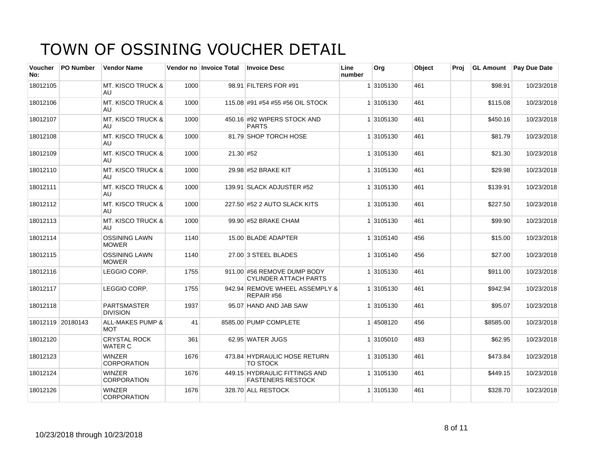| <b>Voucher</b><br>No: | <b>PO Number</b>  | <b>Vendor Name</b>                        |      | Vendor no Invoice Total | <b>Invoice Desc</b>                                         | Line<br>number | Org       | Object | Proi | <b>GL Amount</b> | <b>Pay Due Date</b> |
|-----------------------|-------------------|-------------------------------------------|------|-------------------------|-------------------------------------------------------------|----------------|-----------|--------|------|------------------|---------------------|
| 18012105              |                   | <b>MT. KISCO TRUCK &amp;</b><br>AU        | 1000 |                         | 98.91 FILTERS FOR #91                                       |                | 1 3105130 | 461    |      | \$98.91          | 10/23/2018          |
| 18012106              |                   | <b>MT. KISCO TRUCK &amp;</b><br>AU.       | 1000 |                         | 115.08 #91 #54 #55 #56 OIL STOCK                            |                | 1 3105130 | 461    |      | \$115.08         | 10/23/2018          |
| 18012107              |                   | <b>MT. KISCO TRUCK &amp;</b><br>AU        | 1000 |                         | 450.16 #92 WIPERS STOCK AND<br><b>PARTS</b>                 |                | 1 3105130 | 461    |      | \$450.16         | 10/23/2018          |
| 18012108              |                   | <b>MT. KISCO TRUCK &amp;</b><br>AU        | 1000 |                         | 81.79 SHOP TORCH HOSE                                       |                | 1 3105130 | 461    |      | \$81.79          | 10/23/2018          |
| 18012109              |                   | <b>MT. KISCO TRUCK &amp;</b><br>AU.       | 1000 | 21.30 #52               |                                                             |                | 1 3105130 | 461    |      | \$21.30          | 10/23/2018          |
| 18012110              |                   | <b>MT. KISCO TRUCK &amp;</b><br>AU.       | 1000 |                         | 29.98 #52 BRAKE KIT                                         |                | 1 3105130 | 461    |      | \$29.98          | 10/23/2018          |
| 18012111              |                   | <b>MT. KISCO TRUCK &amp;</b><br>AU.       | 1000 |                         | 139.91 SLACK ADJUSTER #52                                   |                | 1 3105130 | 461    |      | \$139.91         | 10/23/2018          |
| 18012112              |                   | <b>MT. KISCO TRUCK &amp;</b><br>AU        | 1000 |                         | 227.50 #52 2 AUTO SLACK KITS                                |                | 1 3105130 | 461    |      | \$227.50         | 10/23/2018          |
| 18012113              |                   | <b>MT. KISCO TRUCK &amp;</b><br>AU.       | 1000 |                         | 99.90 #52 BRAKE CHAM                                        |                | 1 3105130 | 461    |      | \$99.90          | 10/23/2018          |
| 18012114              |                   | <b>OSSINING LAWN</b><br><b>MOWER</b>      | 1140 |                         | 15.00 BLADE ADAPTER                                         |                | 1 3105140 | 456    |      | \$15.00          | 10/23/2018          |
| 18012115              |                   | <b>OSSINING LAWN</b><br><b>MOWER</b>      | 1140 |                         | 27.00 3 STEEL BLADES                                        |                | 1 3105140 | 456    |      | \$27.00          | 10/23/2018          |
| 18012116              |                   | LEGGIO CORP.                              | 1755 |                         | 911.00 #56 REMOVE DUMP BODY<br><b>CYLINDER ATTACH PARTS</b> |                | 1 3105130 | 461    |      | \$911.00         | 10/23/2018          |
| 18012117              |                   | LEGGIO CORP.                              | 1755 |                         | 942.94 REMOVE WHEEL ASSEMPLY &<br>REPAIR #56                |                | 1 3105130 | 461    |      | \$942.94         | 10/23/2018          |
| 18012118              |                   | <b>PARTSMASTER</b><br><b>DIVISION</b>     | 1937 |                         | 95.07 HAND AND JAB SAW                                      |                | 1 3105130 | 461    |      | \$95.07          | 10/23/2018          |
|                       | 18012119 20180143 | <b>ALL-MAKES PUMP &amp;</b><br><b>MOT</b> | 41   |                         | 8585.00 PUMP COMPLETE                                       |                | 14508120  | 456    |      | \$8585.00        | 10/23/2018          |
| 18012120              |                   | <b>CRYSTAL ROCK</b><br><b>WATER C</b>     | 361  |                         | 62.95 WATER JUGS                                            |                | 1 3105010 | 483    |      | \$62.95          | 10/23/2018          |
| 18012123              |                   | <b>WINZER</b><br><b>CORPORATION</b>       | 1676 |                         | 473.84 HYDRAULIC HOSE RETURN<br><b>TO STOCK</b>             |                | 1 3105130 | 461    |      | \$473.84         | 10/23/2018          |
| 18012124              |                   | <b>WINZER</b><br><b>CORPORATION</b>       | 1676 |                         | 449.15 HYDRAULIC FITTINGS AND<br><b>FASTENERS RESTOCK</b>   |                | 1 3105130 | 461    |      | \$449.15         | 10/23/2018          |
| 18012126              |                   | <b>WINZER</b><br><b>CORPORATION</b>       | 1676 |                         | 328.70 ALL RESTOCK                                          |                | 1 3105130 | 461    |      | \$328.70         | 10/23/2018          |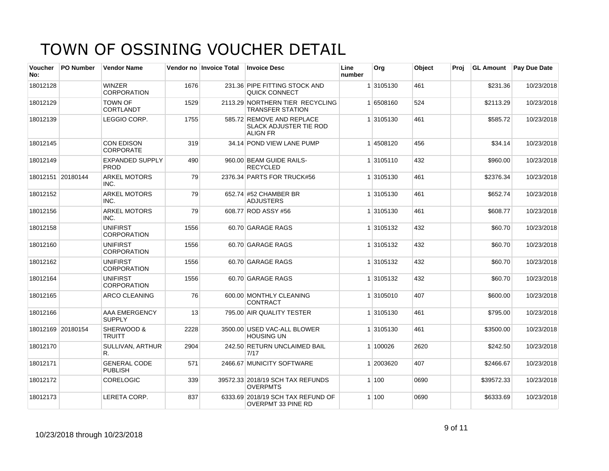| <b>Voucher</b><br>No: | <b>PO Number</b>  | <b>Vendor Name</b>                    |      | Vendor no Invoice Total | <b>Invoice Desc</b>                                                           | Line<br>number | Org       | Object | Proj | <b>GL Amount</b> | <b>Pay Due Date</b> |
|-----------------------|-------------------|---------------------------------------|------|-------------------------|-------------------------------------------------------------------------------|----------------|-----------|--------|------|------------------|---------------------|
| 18012128              |                   | <b>WINZER</b><br><b>CORPORATION</b>   | 1676 |                         | 231.36 PIPE FITTING STOCK AND<br>QUICK CONNECT                                |                | 1 3105130 | 461    |      | \$231.36         | 10/23/2018          |
| 18012129              |                   | <b>TOWN OF</b><br><b>CORTLANDT</b>    | 1529 |                         | 2113.29 NORTHERN TIER RECYCLING<br><b>TRANSFER STATION</b>                    |                | 1 6508160 | 524    |      | \$2113.29        | 10/23/2018          |
| 18012139              |                   | LEGGIO CORP.                          | 1755 |                         | 585.72 REMOVE AND REPLACE<br><b>SLACK ADJUSTER TIE ROD</b><br><b>ALIGN FR</b> |                | 1 3105130 | 461    |      | \$585.72         | 10/23/2018          |
| 18012145              |                   | <b>CON EDISON</b><br><b>CORPORATE</b> | 319  |                         | 34.14 POND VIEW LANE PUMP                                                     |                | 14508120  | 456    |      | \$34.14          | 10/23/2018          |
| 18012149              |                   | <b>EXPANDED SUPPLY</b><br>PROD        | 490  |                         | 960.00 BEAM GUIDE RAILS-<br><b>RECYCLED</b>                                   |                | 1 3105110 | 432    |      | \$960.00         | 10/23/2018          |
|                       | 18012151 20180144 | ARKEL MOTORS<br>INC.                  | 79   |                         | 2376.34 PARTS FOR TRUCK#56                                                    |                | 1 3105130 | 461    |      | \$2376.34        | 10/23/2018          |
| 18012152              |                   | <b>ARKEL MOTORS</b><br>INC.           | 79   |                         | 652.74 #52 CHAMBER BR<br><b>ADJUSTERS</b>                                     |                | 1 3105130 | 461    |      | \$652.74         | 10/23/2018          |
| 18012156              |                   | <b>ARKEL MOTORS</b><br>INC.           | 79   |                         | 608.77 ROD ASSY #56                                                           |                | 1 3105130 | 461    |      | \$608.77         | 10/23/2018          |
| 18012158              |                   | <b>UNIFIRST</b><br><b>CORPORATION</b> | 1556 |                         | 60.70 GARAGE RAGS                                                             |                | 1 3105132 | 432    |      | \$60.70          | 10/23/2018          |
| 18012160              |                   | <b>UNIFIRST</b><br><b>CORPORATION</b> | 1556 |                         | 60.70 GARAGE RAGS                                                             |                | 1 3105132 | 432    |      | \$60.70          | 10/23/2018          |
| 18012162              |                   | <b>UNIFIRST</b><br><b>CORPORATION</b> | 1556 |                         | 60.70 GARAGE RAGS                                                             |                | 1 3105132 | 432    |      | \$60.70          | 10/23/2018          |
| 18012164              |                   | <b>UNIFIRST</b><br><b>CORPORATION</b> | 1556 |                         | 60.70 GARAGE RAGS                                                             |                | 1 3105132 | 432    |      | \$60.70          | 10/23/2018          |
| 18012165              |                   | <b>ARCO CLEANING</b>                  | 76   |                         | 600.00 MONTHLY CLEANING<br><b>CONTRACT</b>                                    |                | 1 3105010 | 407    |      | \$600.00         | 10/23/2018          |
| 18012166              |                   | AAA EMERGENCY<br><b>SUPPLY</b>        | 13   |                         | 795.00 AIR QUALITY TESTER                                                     |                | 1 3105130 | 461    |      | \$795.00         | 10/23/2018          |
|                       | 18012169 20180154 | SHERWOOD &<br><b>TRUITT</b>           | 2228 |                         | 3500.00 USED VAC-ALL BLOWER<br><b>HOUSING UN</b>                              |                | 1 3105130 | 461    |      | \$3500.00        | 10/23/2018          |
| 18012170              |                   | <b>SULLIVAN, ARTHUR</b><br>R.         | 2904 |                         | 242.50 RETURN UNCLAIMED BAIL<br>7/17                                          |                | 1 100026  | 2620   |      | \$242.50         | 10/23/2018          |
| 18012171              |                   | <b>GENERAL CODE</b><br><b>PUBLISH</b> | 571  |                         | 2466.67 MUNICITY SOFTWARE                                                     |                | 1 2003620 | 407    |      | \$2466.67        | 10/23/2018          |
| 18012172              |                   | <b>CORELOGIC</b>                      | 339  |                         | 39572.33 2018/19 SCH TAX REFUNDS<br><b>OVERPMTS</b>                           |                | 1 100     | 0690   |      | \$39572.33       | 10/23/2018          |
| 18012173              |                   | LERETA CORP.                          | 837  |                         | 6333.69 2018/19 SCH TAX REFUND OF<br><b>OVERPMT 33 PINE RD</b>                |                | 1 100     | 0690   |      | \$6333.69        | 10/23/2018          |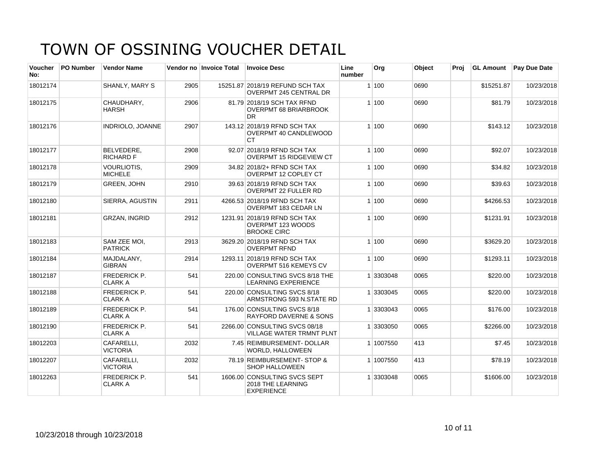| <b>Voucher</b><br>No: | <b>PO Number</b> | <b>Vendor Name</b>                    |      | Vendor no Invoice Total | <b>Invoice Desc</b>                                                     | Line<br>number | Org       | Object | Proj | <b>GL Amount</b> | <b>Pay Due Date</b> |
|-----------------------|------------------|---------------------------------------|------|-------------------------|-------------------------------------------------------------------------|----------------|-----------|--------|------|------------------|---------------------|
| 18012174              |                  | SHANLY, MARY S                        | 2905 |                         | 15251.87 2018/19 REFUND SCH TAX<br><b>OVERPMT 245 CENTRAL DR</b>        |                | 1 100     | 0690   |      | \$15251.87       | 10/23/2018          |
| 18012175              |                  | CHAUDHARY,<br><b>HARSH</b>            | 2906 |                         | 81.79 2018/19 SCH TAX RFND<br><b>OVERPMT 68 BRIARBROOK</b><br><b>DR</b> |                | 1 100     | 0690   |      | \$81.79          | 10/23/2018          |
| 18012176              |                  | <b>INDRIOLO, JOANNE</b>               | 2907 |                         | 143.12 2018/19 RFND SCH TAX<br>OVERPMT 40 CANDLEWOOD<br>СT              |                | 1 100     | 0690   |      | \$143.12         | 10/23/2018          |
| 18012177              |                  | <b>BELVEDERE.</b><br><b>RICHARD F</b> | 2908 |                         | 92.07 2018/19 RFND SCH TAX<br><b>OVERPMT 15 RIDGEVIEW CT</b>            |                | 1 100     | 0690   |      | \$92.07          | 10/23/2018          |
| 18012178              |                  | <b>VOURLIOTIS.</b><br><b>MICHELE</b>  | 2909 |                         | 34.82 2018/2+ RFND SCH TAX<br><b>OVERPMT 12 COPLEY CT</b>               |                | 1 100     | 0690   |      | \$34.82          | 10/23/2018          |
| 18012179              |                  | <b>GREEN, JOHN</b>                    | 2910 |                         | 39.63 2018/19 RFND SCH TAX<br><b>OVERPMT 22 FULLER RD</b>               |                | 1 100     | 0690   |      | \$39.63          | 10/23/2018          |
| 18012180              |                  | <b>SIERRA, AGUSTIN</b>                | 2911 |                         | 4266.53 2018/19 RFND SCH TAX<br><b>OVERPMT 183 CEDAR LN</b>             |                | 1 100     | 0690   |      | \$4266.53        | 10/23/2018          |
| 18012181              |                  | <b>GRZAN, INGRID</b>                  | 2912 |                         | 1231.91 2018/19 RFND SCH TAX<br>OVERPMT 123 WOODS<br><b>BROOKE CIRC</b> |                | 1 100     | 0690   |      | \$1231.91        | 10/23/2018          |
| 18012183              |                  | SAM ZEE MOI,<br><b>PATRICK</b>        | 2913 |                         | 3629.20 2018/19 RFND SCH TAX<br><b>OVERPMT RFND</b>                     |                | 1 100     | 0690   |      | \$3629.20        | 10/23/2018          |
| 18012184              |                  | MAJDALANY,<br><b>GIBRAN</b>           | 2914 |                         | 1293.11 2018/19 RFND SCH TAX<br>OVERPMT 516 KEMEYS CV                   |                | 1 100     | 0690   |      | \$1293.11        | 10/23/2018          |
| 18012187              |                  | <b>FREDERICK P.</b><br><b>CLARK A</b> | 541  |                         | 220.00 CONSULTING SVCS 8/18 THE<br><b>LEARNING EXPERIENCE</b>           |                | 1 3303048 | 0065   |      | \$220.00         | 10/23/2018          |
| 18012188              |                  | <b>FREDERICK P.</b><br><b>CLARK A</b> | 541  |                         | 220.00 CONSULTING SVCS 8/18<br>ARMSTRONG 593 N.STATE RD                 |                | 1 3303045 | 0065   |      | \$220.00         | 10/23/2018          |
| 18012189              |                  | <b>FREDERICK P.</b><br><b>CLARK A</b> | 541  |                         | 176.00 CONSULTING SVCS 8/18<br><b>RAYFORD DAVERNE &amp; SONS</b>        |                | 1 3303043 | 0065   |      | \$176.00         | 10/23/2018          |
| 18012190              |                  | <b>FREDERICK P.</b><br><b>CLARK A</b> | 541  |                         | 2266.00 CONSULTING SVCS 08/18<br><b>VILLAGE WATER TRMNT PLNT</b>        |                | 1 3303050 | 0065   |      | \$2266.00        | 10/23/2018          |
| 18012203              |                  | CAFARELLI,<br><b>VICTORIA</b>         | 2032 |                         | 7.45 REIMBURSEMENT- DOLLAR<br><b>WORLD, HALLOWEEN</b>                   |                | 1 1007550 | 413    |      | \$7.45           | 10/23/2018          |
| 18012207              |                  | CAFARELLI,<br><b>VICTORIA</b>         | 2032 |                         | 78.19 REIMBURSEMENT- STOP &<br><b>SHOP HALLOWEEN</b>                    |                | 1 1007550 | 413    |      | \$78.19          | 10/23/2018          |
| 18012263              |                  | <b>FREDERICK P.</b><br><b>CLARK A</b> | 541  |                         | 1606.00 CONSULTING SVCS SEPT<br>2018 THE LEARNING<br><b>EXPERIENCE</b>  |                | 1 3303048 | 0065   |      | \$1606.00        | 10/23/2018          |